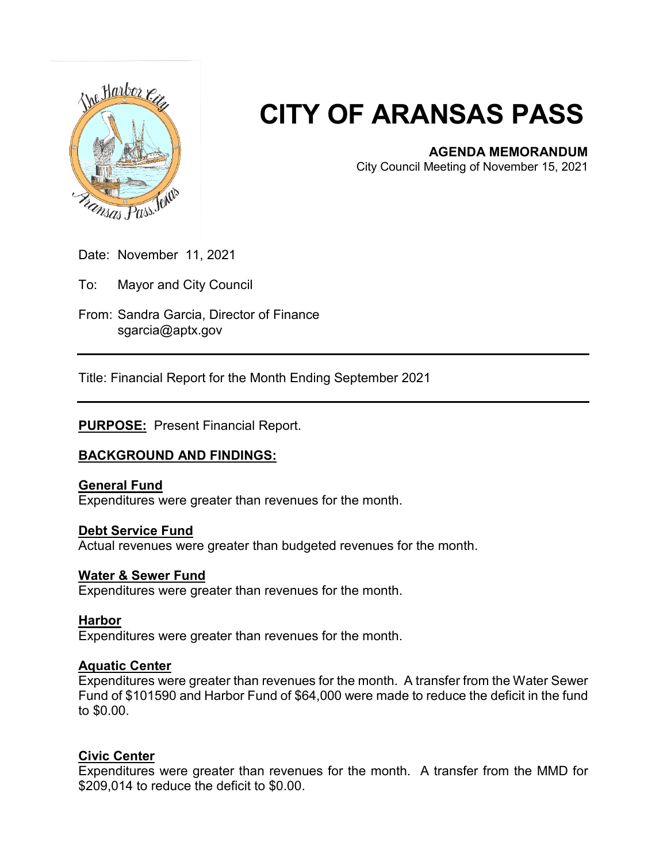

# **CITY OF ARANSAS PASS**

# **AGENDA MEMORANDUM**

City Council Meeting of November 15, 2021

Date: November 11, 2021

To: Mayor and City Council

From: Sandra Garcia, Director of Finance sgarcia@aptx.gov

Title: Financial Report for the Month Ending September 2021

**PURPOSE:** Present Financial Report.

# **BACKGROUND AND FINDINGS:**

# **General Fund**

Expenditures were greater than revenues for the month.

#### **Debt Service Fund**

Actual revenues were greater than budgeted revenues for the month.

#### **Water & Sewer Fund**

Expenditures were greater than revenues for the month.

#### **Harbor**

Expenditures were greater than revenues for the month.

#### **Aquatic Center**

Expenditures were greater than revenues for the month. A transfer from the Water Sewer Fund of \$101590 and Harbor Fund of \$64,000 were made to reduce the deficit in the fund to \$0.00.

# **Civic Center**

Expenditures were greater than revenues for the month. A transfer from the MMD for \$209,014 to reduce the deficit to \$0.00.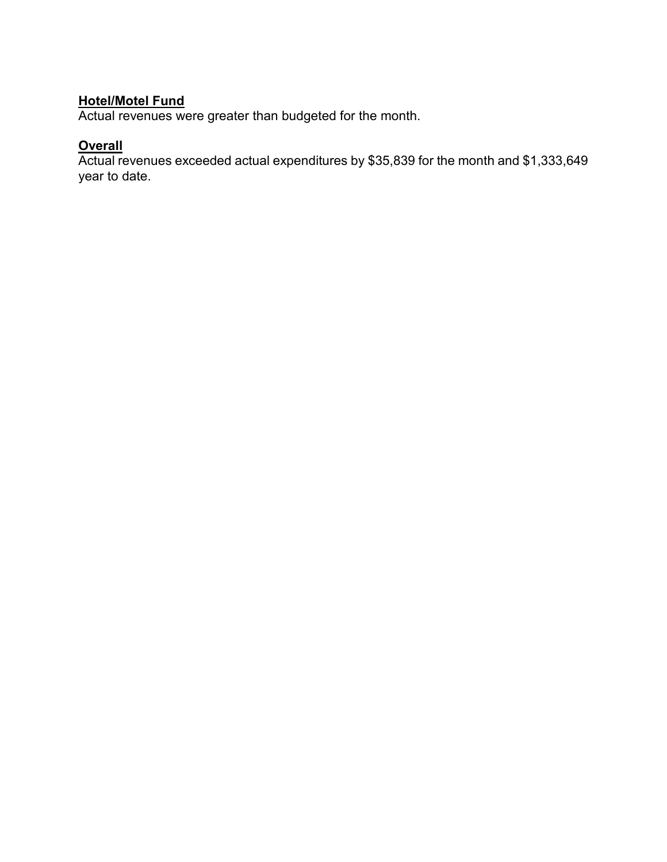# **Hotel/Motel Fund**

Actual revenues were greater than budgeted for the month.

# **Overall**

Actual revenues exceeded actual expenditures by \$35,839 for the month and \$1,333,649 year to date.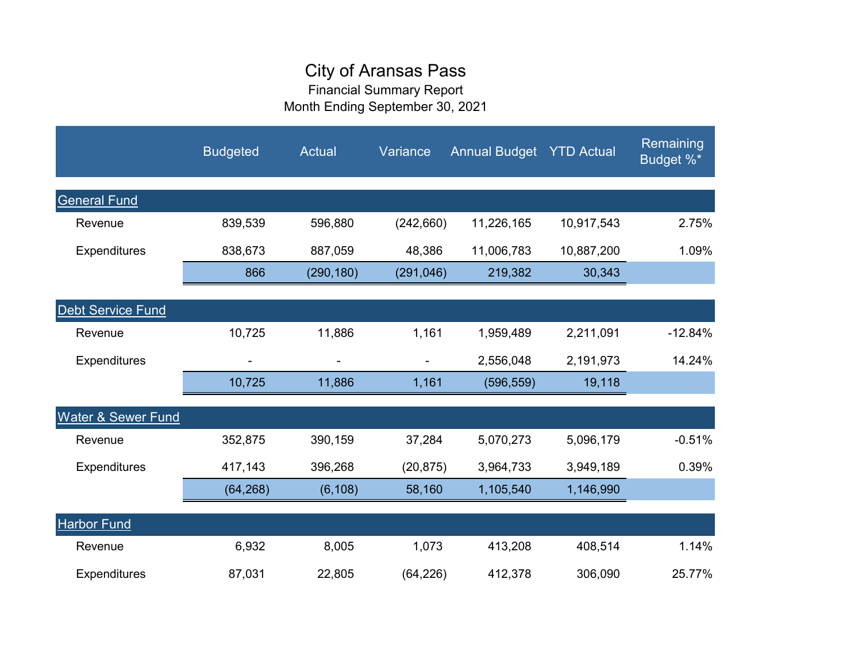# City of Aransas Pass

Financial Summary Report Month Ending September 30, 2021

|                               | <b>Budgeted</b> | Actual     | Variance   | <b>Annual Budget YTD Actual</b> |            | Remaining<br>Budget %* |
|-------------------------------|-----------------|------------|------------|---------------------------------|------------|------------------------|
| <b>General Fund</b>           |                 |            |            |                                 |            |                        |
| Revenue                       | 839,539         | 596,880    | (242, 660) | 11,226,165                      | 10,917,543 | 2.75%                  |
| <b>Expenditures</b>           | 838,673         | 887,059    | 48,386     | 11,006,783                      | 10,887,200 | 1.09%                  |
|                               | 866             | (290, 180) | (291, 046) | 219,382                         | 30,343     |                        |
| <b>Debt Service Fund</b>      |                 |            |            |                                 |            |                        |
| Revenue                       | 10,725          | 11,886     | 1,161      | 1,959,489                       | 2,211,091  | $-12.84%$              |
| Expenditures                  |                 |            |            | 2,556,048                       | 2,191,973  | 14.24%                 |
|                               | 10,725          | 11,886     | 1,161      | (596, 559)                      | 19,118     |                        |
| <b>Water &amp; Sewer Fund</b> |                 |            |            |                                 |            |                        |
| Revenue                       | 352,875         | 390,159    | 37,284     | 5,070,273                       | 5,096,179  | $-0.51%$               |
| Expenditures                  | 417,143         | 396,268    | (20, 875)  | 3,964,733                       | 3,949,189  | 0.39%                  |
|                               | (64, 268)       | (6, 108)   | 58,160     | 1,105,540                       | 1,146,990  |                        |
| <b>Harbor Fund</b>            |                 |            |            |                                 |            |                        |
| Revenue                       | 6,932           | 8,005      | 1,073      | 413,208                         | 408,514    | 1.14%                  |
| <b>Expenditures</b>           | 87,031          | 22,805     | (64, 226)  | 412,378                         | 306,090    | 25.77%                 |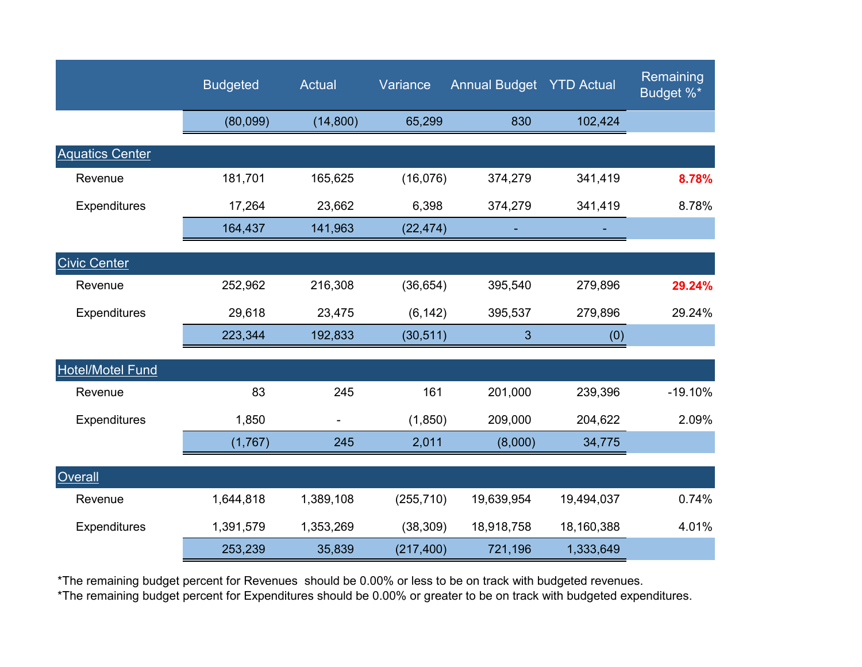|                         | <b>Budgeted</b> | Actual    | Variance   | <b>Annual Budget YTD Actual</b> |            | Remaining<br>Budget %* |
|-------------------------|-----------------|-----------|------------|---------------------------------|------------|------------------------|
|                         | (80,099)        | (14, 800) | 65,299     | 830                             | 102,424    |                        |
| <b>Aquatics Center</b>  |                 |           |            |                                 |            |                        |
| Revenue                 | 181,701         | 165,625   | (16,076)   | 374,279                         | 341,419    | 8.78%                  |
| Expenditures            | 17,264          | 23,662    | 6,398      | 374,279                         | 341,419    | 8.78%                  |
|                         | 164,437         | 141,963   | (22, 474)  |                                 |            |                        |
| <b>Civic Center</b>     |                 |           |            |                                 |            |                        |
| Revenue                 | 252,962         | 216,308   | (36, 654)  | 395,540                         | 279,896    | 29.24%                 |
| Expenditures            | 29,618          | 23,475    | (6, 142)   | 395,537                         | 279,896    | 29.24%                 |
|                         | 223,344         | 192,833   | (30, 511)  | 3                               | (0)        |                        |
| <b>Hotel/Motel Fund</b> |                 |           |            |                                 |            |                        |
| Revenue                 | 83              | 245       | 161        | 201,000                         | 239,396    | $-19.10%$              |
| <b>Expenditures</b>     | 1,850           |           | (1, 850)   | 209,000                         | 204,622    | 2.09%                  |
|                         | (1,767)         | 245       | 2,011      | (8,000)                         | 34,775     |                        |
| Overall                 |                 |           |            |                                 |            |                        |
| Revenue                 | 1,644,818       | 1,389,108 | (255, 710) | 19,639,954                      | 19,494,037 | 0.74%                  |
| Expenditures            | 1,391,579       | 1,353,269 | (38, 309)  | 18,918,758                      | 18,160,388 | 4.01%                  |
|                         | 253,239         | 35,839    | (217, 400) | 721,196                         | 1,333,649  |                        |

\*The remaining budget percent for Revenues should be 0.00% or less to be on track with budgeted revenues.

\*The remaining budget percent for Expenditures should be 0.00% or greater to be on track with budgeted expenditures.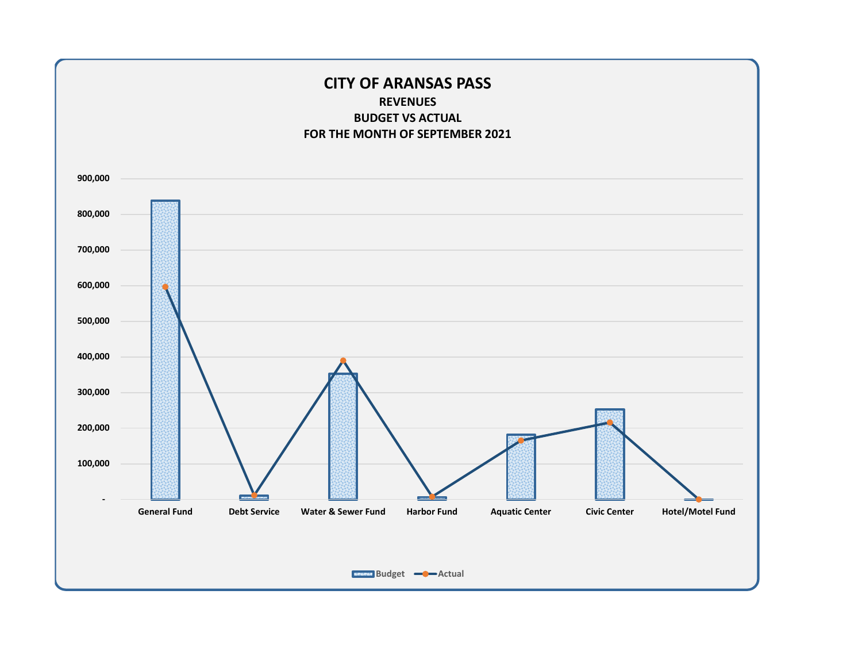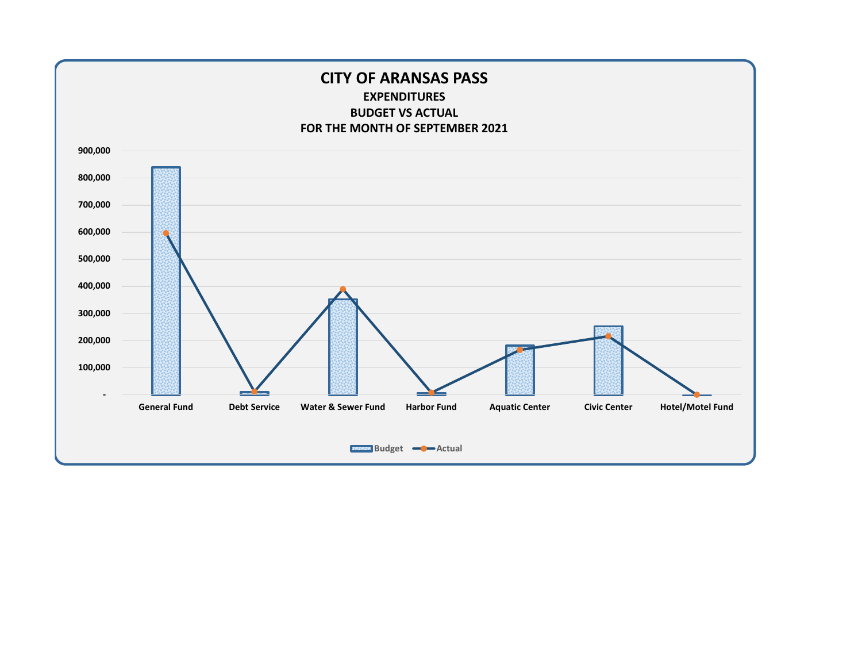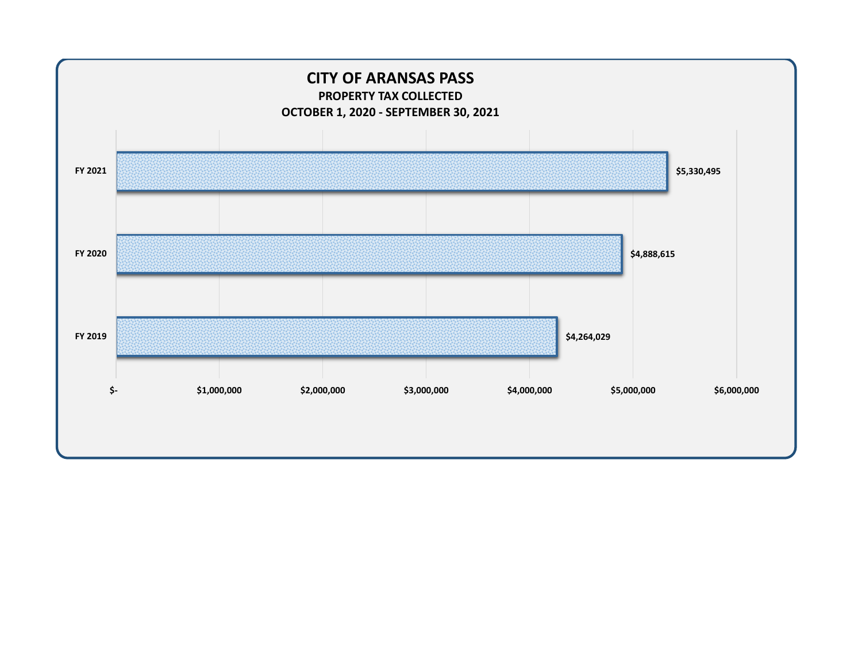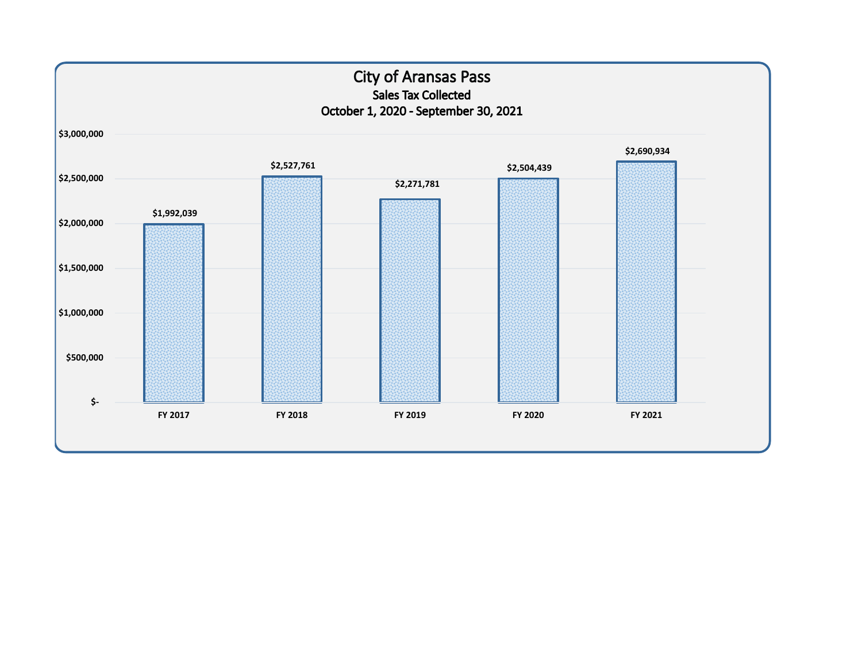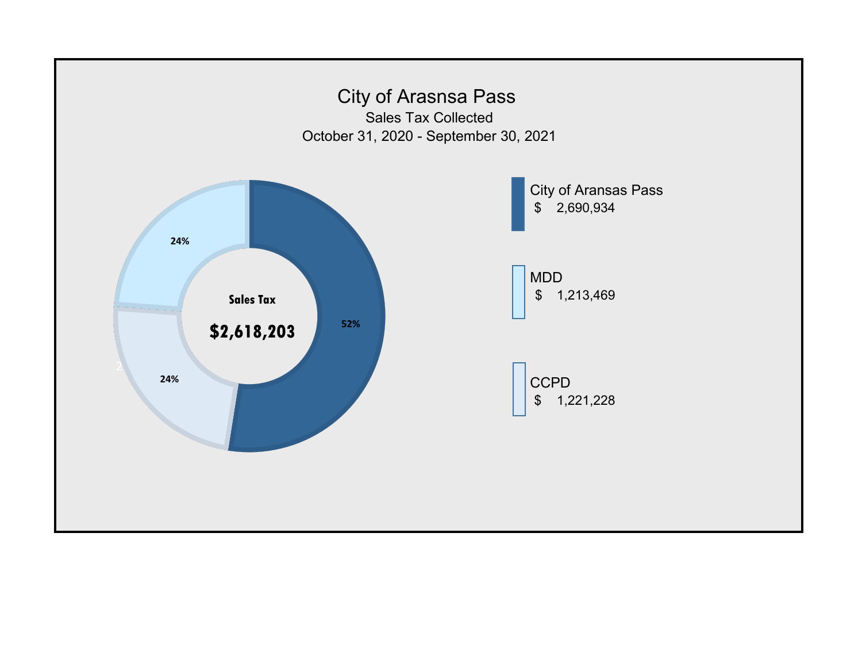